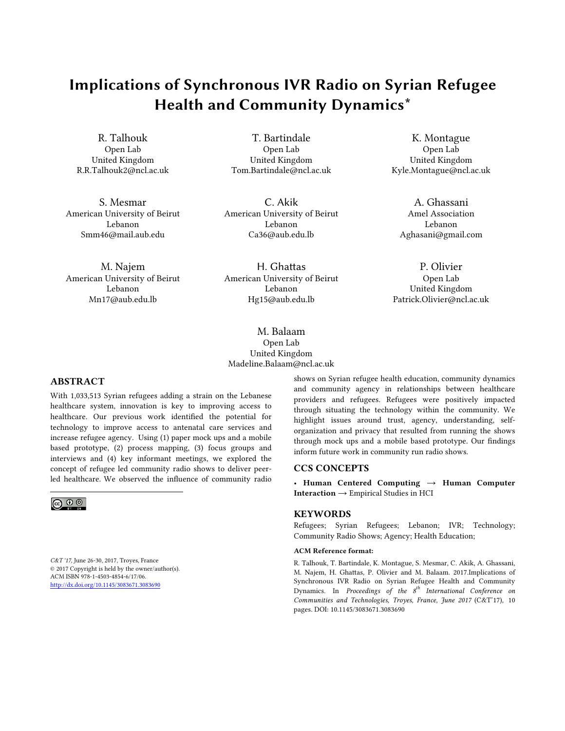# Implications of Synchronous IVR Radio on Syrian Refugee Health and Community Dynamics\*

R. Talhouk Open Lab United Kingdom R.R.Talhouk2@ncl.ac.uk

S. Mesmar American University of Beirut Lebanon Smm46@mail.aub.edu

M. Najem American University of Beirut Lebanon Mn17@aub.edu.lb

T. Bartindale Open Lab United Kingdom Tom.Bartindale@ncl.ac.uk

C. Akik American University of Beirut Lebanon Ca36@aub.edu.lb

H. Ghattas American University of Beirut Lebanon Hg15@aub.edu.lb

K. Montague Open Lab United Kingdom Kyle.Montague@ncl.ac.uk

A. Ghassani Amel Association Lebanon Aghasani@gmail.com

P. Olivier Open Lab United Kingdom Patrick.Olivier@ncl.ac.uk

## M. Balaam Open Lab United Kingdom Madeline.Balaam@ncl.ac.uk

#### ABSTRACT

With 1,033,513 Syrian refugees adding a strain on the Lebanese healthcare system, innovation is key to improving access to healthcare. Our previous work identified the potential for technology to improve access to antenatal care services and increase refugee agency. Using (1) paper mock ups and a mobile based prototype, (2) process mapping, (3) focus groups and interviews and (4) key informant meetings, we explored the concept of refugee led community radio shows to deliver peerled healthcare. 1 We observed the influence of community radio



 $\ddot{\phantom{a}}$ 

*C&T '17*, June 26-30, 2017, Troyes, France © 2017 Copyright is held by the owner/author(s). ACM ISBN 978-1-4503-4854-6/17/06. http://dx.doi.org/10.1145/3083671.3083690

shows on Syrian refugee health education, community dynamics and community agency in relationships between healthcare providers and refugees. Refugees were positively impacted through situating the technology within the community. We highlight issues around trust, agency, understanding, selforganization and privacy that resulted from running the shows through mock ups and a mobile based prototype. Our findings inform future work in community run radio shows.

#### CCS CONCEPTS

• Human Centered Computing  $\rightarrow$  Human Computer Interaction → Empirical Studies in HCI

#### KEYWORDS

Refugees; Syrian Refugees; Lebanon; IVR; Technology; Community Radio Shows; Agency; Health Education;

#### ACM Reference format:

R. Talhouk, T. Bartindale, K. Montague, S. Mesmar, C. Akik, A. Ghassani, M. Najem, H. Ghatas, P. Olivier and M. Balaam. 2017.Implications of Synchronous IVR Radio on Syrian Refugee Health and Community Dynamics. In *Proceedings of the 8th International Conference on Communities and Technologies, Troyes, France, June 2017* (C&T'17), 10 pages. DOI: 10.1145/3083671.3083690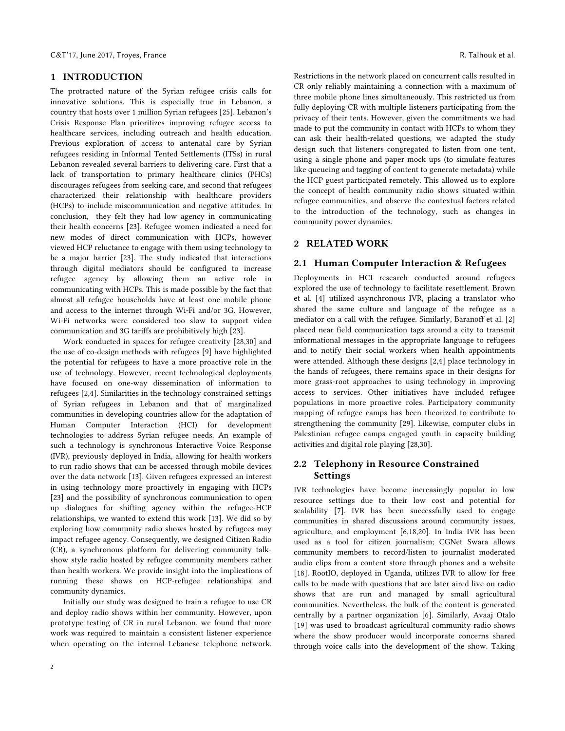#### 1 INTRODUCTION

The protracted nature of the Syrian refugee crisis calls for innovative solutions. This is especially true in Lebanon, a country that hosts over 1 million Syrian refugees [25]. Lebanon's Crisis Response Plan prioritizes improving refugee access to healthcare services, including outreach and health education. Previous exploration of access to antenatal care by Syrian refugees residing in Informal Tented Settlements (ITSs) in rural Lebanon revealed several barriers to delivering care. First that a lack of transportation to primary healthcare clinics (PHCs) discourages refugees from seeking care, and second that refugees characterized their relationship with healthcare providers (HCPs) to include miscommunication and negative attitudes. In conclusion, they felt they had low agency in communicating their health concerns [23]. Refugee women indicated a need for new modes of direct communication with HCPs, however viewed HCP reluctance to engage with them using technology to be a major barrier [23]. The study indicated that interactions through digital mediators should be configured to increase refugee agency by allowing them an active role in communicating with HCPs. This is made possible by the fact that almost all refugee households have at least one mobile phone and access to the internet through Wi-Fi and/or 3G. However, Wi-Fi networks were considered too slow to support video communication and 3G tariffs are prohibitively high [23].

Work conducted in spaces for refugee creativity [28,30] and the use of co-design methods with refugees [9] have highlighted the potential for refugees to have a more proactive role in the use of technology. However, recent technological deployments have focused on one-way dissemination of information to refugees [2,4]. Similarities in the technology constrained settings of Syrian refugees in Lebanon and that of marginalized communities in developing countries allow for the adaptation of Human Computer Interaction (HCI) for development technologies to address Syrian refugee needs. An example of such a technology is synchronous Interactive Voice Response (IVR), previously deployed in India, allowing for health workers to run radio shows that can be accessed through mobile devices over the data network [13]. Given refugees expressed an interest in using technology more proactively in engaging with HCPs [23] and the possibility of synchronous communication to open up dialogues for shifting agency within the refugee-HCP relationships, we wanted to extend this work [13]. We did so by exploring how community radio shows hosted by refugees may impact refugee agency. Consequently, we designed Citizen Radio (CR), a synchronous platform for delivering community talkshow style radio hosted by refugee community members rather than health workers. We provide insight into the implications of running these shows on HCP-refugee relationships and community dynamics.

Initially our study was designed to train a refugee to use CR and deploy radio shows within her community. However, upon prototype testing of CR in rural Lebanon, we found that more work was required to maintain a consistent listener experience when operating on the internal Lebanese telephone network.

Restrictions in the network placed on concurrent calls resulted in CR only reliably maintaining a connection with a maximum of three mobile phone lines simultaneously. This restricted us from fully deploying CR with multiple listeners participating from the privacy of their tents. However, given the commitments we had made to put the community in contact with HCPs to whom they can ask their health-related questions, we adapted the study design such that listeners congregated to listen from one tent, using a single phone and paper mock ups (to simulate features like queueing and tagging of content to generate metadata) while the HCP guest participated remotely. This allowed us to explore the concept of health community radio shows situated within refugee communities, and observe the contextual factors related to the introduction of the technology, such as changes in community power dynamics.

#### 2 RELATED WORK

#### 2.1 Human Computer Interaction & Refugees

Deployments in HCI research conducted around refugees explored the use of technology to facilitate resettlement. Brown et al. [4] utilized asynchronous IVR, placing a translator who shared the same culture and language of the refugee as a mediator on a call with the refugee. Similarly, Baranoff et al. [2] placed near field communication tags around a city to transmit informational messages in the appropriate language to refugees and to notify their social workers when health appointments were attended. Although these designs [2,4] place technology in the hands of refugees, there remains space in their designs for more grass-root approaches to using technology in improving access to services. Other initiatives have included refugee populations in more proactive roles. Participatory community mapping of refugee camps has been theorized to contribute to strengthening the community [29]. Likewise, computer clubs in Palestinian refugee camps engaged youth in capacity building activities and digital role playing [28,30].

# 2.2 Telephony in Resource Constrained Settings

IVR technologies have become increasingly popular in low resource settings due to their low cost and potential for scalability [7]. IVR has been successfully used to engage communities in shared discussions around community issues, agriculture, and employment [6,18,20]. In India IVR has been used as a tool for citizen journalism; CGNet Swara allows community members to record/listen to journalist moderated audio clips from a content store through phones and a website [18]. RootIO, deployed in Uganda, utilizes IVR to allow for free calls to be made with questions that are later aired live on radio shows that are run and managed by small agricultural communities. Nevertheless, the bulk of the content is generated centrally by a partner organization [6]. Similarly, Avaaj Otalo [19] was used to broadcast agricultural community radio shows where the show producer would incorporate concerns shared through voice calls into the development of the show. Taking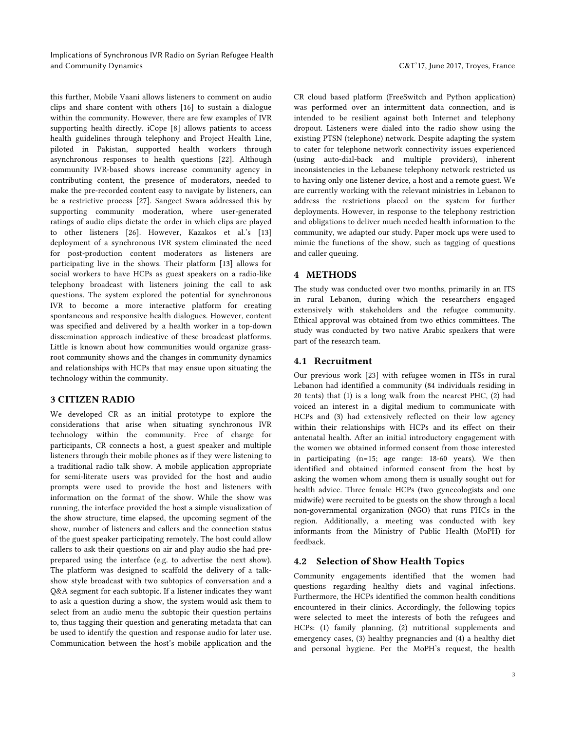Implications of Synchronous IVR Radio on Syrian Refugee Health and Community Dynamics C&T'17, June 2017, Troyes, France

this further, Mobile Vaani allows listeners to comment on audio clips and share content with others [16] to sustain a dialogue within the community. However, there are few examples of IVR supporting health directly. iCope [8] allows patients to access health guidelines through telephony and Project Health Line, piloted in Pakistan, supported health workers through asynchronous responses to health questions [22]. Although community IVR-based shows increase community agency in contributing content, the presence of moderators, needed to make the pre-recorded content easy to navigate by listeners, can be a restrictive process [27]. Sangeet Swara addressed this by supporting community moderation, where user-generated ratings of audio clips dictate the order in which clips are played to other listeners [26]. However, Kazakos et al.'s [13] deployment of a synchronous IVR system eliminated the need for post-production content moderators as listeners are participating live in the shows. Their platform [13] allows for social workers to have HCPs as guest speakers on a radio-like telephony broadcast with listeners joining the call to ask questions. The system explored the potential for synchronous IVR to become a more interactive platform for creating spontaneous and responsive health dialogues. However, content was specified and delivered by a health worker in a top-down dissemination approach indicative of these broadcast platforms. Little is known about how communities would organize grassroot community shows and the changes in community dynamics and relationships with HCPs that may ensue upon situating the technology within the community.

#### 3 CITIZEN RADIO

We developed CR as an initial prototype to explore the considerations that arise when situating synchronous IVR technology within the community. Free of charge for participants, CR connects a host, a guest speaker and multiple listeners through their mobile phones as if they were listening to a traditional radio talk show. A mobile application appropriate for semi-literate users was provided for the host and audio prompts were used to provide the host and listeners with information on the format of the show. While the show was running, the interface provided the host a simple visualization of the show structure, time elapsed, the upcoming segment of the show, number of listeners and callers and the connection status of the guest speaker participating remotely. The host could allow callers to ask their questions on air and play audio she had preprepared using the interface (e.g. to advertise the next show). The platform was designed to scaffold the delivery of a talkshow style broadcast with two subtopics of conversation and a Q&A segment for each subtopic. If a listener indicates they want to ask a question during a show, the system would ask them to select from an audio menu the subtopic their question pertains to, thus tagging their question and generating metadata that can be used to identify the question and response audio for later use. Communication between the host's mobile application and the

CR cloud based platform (FreeSwitch and Python application) was performed over an intermittent data connection, and is intended to be resilient against both Internet and telephony dropout. Listeners were dialed into the radio show using the existing PTSN (telephone) network. Despite adapting the system to cater for telephone network connectivity issues experienced (using auto-dial-back and multiple providers), inherent inconsistencies in the Lebanese telephony network restricted us to having only one listener device, a host and a remote guest. We are currently working with the relevant ministries in Lebanon to address the restrictions placed on the system for further deployments. However, in response to the telephony restriction and obligations to deliver much needed health information to the community, we adapted our study. Paper mock ups were used to mimic the functions of the show, such as tagging of questions and caller queuing.

#### 4 METHODS

The study was conducted over two months, primarily in an ITS in rural Lebanon, during which the researchers engaged extensively with stakeholders and the refugee community. Ethical approval was obtained from two ethics committees. The study was conducted by two native Arabic speakers that were part of the research team.

# 4.1 Recruitment

Our previous work [23] with refugee women in ITSs in rural Lebanon had identified a community (84 individuals residing in 20 tents) that (1) is a long walk from the nearest PHC, (2) had voiced an interest in a digital medium to communicate with HCPs and (3) had extensively reflected on their low agency within their relationships with HCPs and its effect on their antenatal health. After an initial introductory engagement with the women we obtained informed consent from those interested in participating (n=15; age range: 18-60 years). We then identified and obtained informed consent from the host by asking the women whom among them is usually sought out for health advice. Three female HCPs (two gynecologists and one midwife) were recruited to be guests on the show through a local non-governmental organization (NGO) that runs PHCs in the region. Additionally, a meeting was conducted with key informants from the Ministry of Public Health (MoPH) for feedback.

#### 4.2 Selection of Show Health Topics

Community engagements identified that the women had questions regarding healthy diets and vaginal infections. Furthermore, the HCPs identified the common health conditions encountered in their clinics. Accordingly, the following topics were selected to meet the interests of both the refugees and HCPs: (1) family planning, (2) nutritional supplements and emergency cases, (3) healthy pregnancies and (4) a healthy diet and personal hygiene. Per the MoPH's request, the health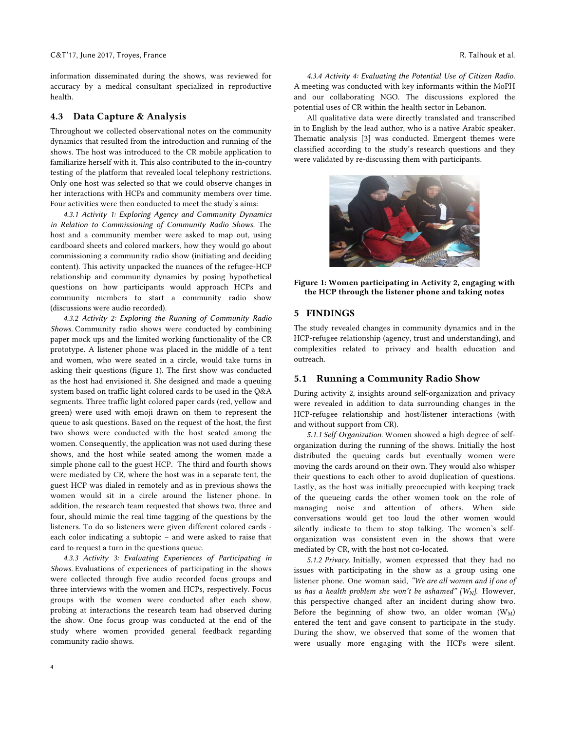information disseminated during the shows, was reviewed for accuracy by a medical consultant specialized in reproductive health.

#### 4.3 Data Capture & Analysis

Throughout we collected observational notes on the community dynamics that resulted from the introduction and running of the shows. The host was introduced to the CR mobile application to familiarize herself with it. This also contributed to the in-country testing of the platform that revealed local telephony restrictions. Only one host was selected so that we could observe changes in her interactions with HCPs and community members over time. Four activities were then conducted to meet the study's aims:

*4.3.1 Activity 1: Exploring Agency and Community Dynamics in Relation to Commissioning of Community Radio Shows.* The host and a community member were asked to map out, using cardboard sheets and colored markers, how they would go about commissioning a community radio show (initiating and deciding content). This activity unpacked the nuances of the refugee-HCP relationship and community dynamics by posing hypothetical questions on how participants would approach HCPs and community members to start a community radio show (discussions were audio recorded).

*4.3.2 Activity 2: Exploring the Running of Community Radio Shows.* Community radio shows were conducted by combining paper mock ups and the limited working functionality of the CR prototype. A listener phone was placed in the middle of a tent and women, who were seated in a circle, would take turns in asking their questions (figure 1). The first show was conducted as the host had envisioned it. She designed and made a queuing system based on traffic light colored cards to be used in the Q&A segments. Three traffic light colored paper cards (red, yellow and green) were used with emoji drawn on them to represent the queue to ask questions. Based on the request of the host, the first two shows were conducted with the host seated among the women. Consequently, the application was not used during these shows, and the host while seated among the women made a simple phone call to the guest HCP. The third and fourth shows were mediated by CR, where the host was in a separate tent, the guest HCP was dialed in remotely and as in previous shows the women would sit in a circle around the listener phone. In addition, the research team requested that shows two, three and four, should mimic the real time tagging of the questions by the listeners. To do so listeners were given different colored cards each color indicating a subtopic – and were asked to raise that card to request a turn in the questions queue.

*4.3.3 Activity 3: Evaluating Experiences of Participating in Shows.* Evaluations of experiences of participating in the shows were collected through five audio recorded focus groups and three interviews with the women and HCPs, respectively. Focus groups with the women were conducted after each show, probing at interactions the research team had observed during the show. One focus group was conducted at the end of the study where women provided general feedback regarding community radio shows.

*4.3.4 Activity 4: Evaluating the Potential Use of Citizen Radio.*  A meeting was conducted with key informants within the MoPH and our collaborating NGO. The discussions explored the potential uses of CR within the health sector in Lebanon.

All qualitative data were directly translated and transcribed in to English by the lead author, who is a native Arabic speaker. Thematic analysis [3] was conducted. Emergent themes were classified according to the study's research questions and they were validated by re-discussing them with participants.



Figure 1: Women participating in Activity 2, engaging with the HCP through the listener phone and taking notes

#### 5 FINDINGS

The study revealed changes in community dynamics and in the HCP-refugee relationship (agency, trust and understanding), and complexities related to privacy and health education and outreach.

#### 5.1 Running a Community Radio Show

During activity 2, insights around self-organization and privacy were revealed in addition to data surrounding changes in the HCP-refugee relationship and host/listener interactions (with and without support from CR).

*5.1.1 Self-Organization.* Women showed a high degree of selforganization during the running of the shows. Initially the host distributed the queuing cards but eventually women were moving the cards around on their own. They would also whisper their questions to each other to avoid duplication of questions. Lastly, as the host was initially preoccupied with keeping track of the queueing cards the other women took on the role of managing noise and attention of others. When side conversations would get too loud the other women would silently indicate to them to stop talking. The women's selforganization was consistent even in the shows that were mediated by CR, with the host not co-located.

*5.1.2 Privacy.* Initially, women expressed that they had no issues with participating in the show as a group using one listener phone. One woman said, *"We are all women and if one of us has a health problem she won't be ashamed"* [W<sub>N</sub>]. However, this perspective changed after an incident during show two. Before the beginning of show two, an older woman  $(W_M)$ entered the tent and gave consent to participate in the study. During the show, we observed that some of the women that were usually more engaging with the HCPs were silent.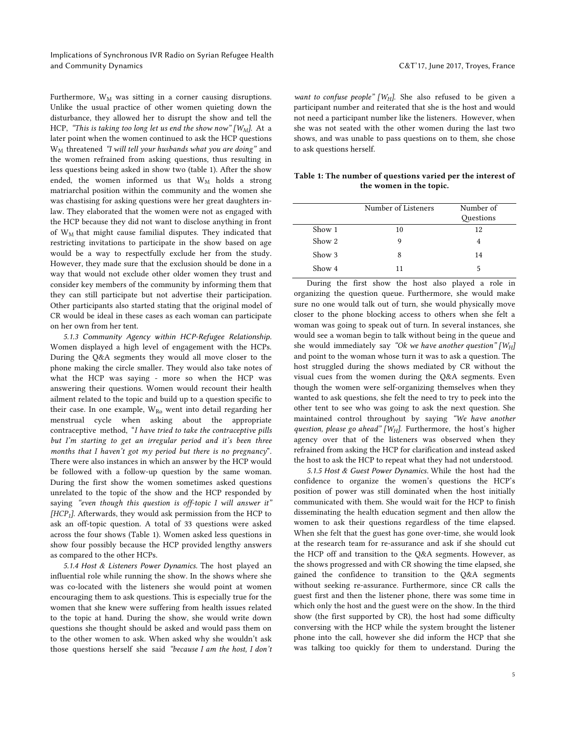Furthermore,  $W_M$  was sitting in a corner causing disruptions. Unlike the usual practice of other women quieting down the disturbance, they allowed her to disrupt the show and tell the HCP, *"This is taking too long let us end the show now" [WM]*. At a later point when the women continued to ask the HCP questions WM threatened *"I will tell your husbands what you are doing"* and the women refrained from asking questions, thus resulting in less questions being asked in show two (table 1). After the show ended, the women informed us that  $W_M$  holds a strong matriarchal position within the community and the women she was chastising for asking questions were her great daughters inlaw. They elaborated that the women were not as engaged with the HCP because they did not want to disclose anything in front of  $W_M$  that might cause familial disputes. They indicated that restricting invitations to participate in the show based on age would be a way to respectfully exclude her from the study. However, they made sure that the exclusion should be done in a way that would not exclude other older women they trust and consider key members of the community by informing them that they can still participate but not advertise their participation. Other participants also started stating that the original model of CR would be ideal in these cases as each woman can participate on her own from her tent.

*5.1.3 Community Agency within HCP-Refugee Relationship.*  Women displayed a high level of engagement with the HCPs. During the Q&A segments they would all move closer to the phone making the circle smaller. They would also take notes of what the HCP was saying - more so when the HCP was answering their questions. Women would recount their health ailment related to the topic and build up to a question specific to their case. In one example,  $W_{Ro}$  went into detail regarding her menstrual cycle when asking about the appropriate contraceptive method, "*I have tried to take the contraceptive pills but I'm starting to get an irregular period and it's been three months that I haven't got my period but there is no pregnancy*". There were also instances in which an answer by the HCP would be followed with a follow-up question by the same woman. During the first show the women sometimes asked questions unrelated to the topic of the show and the HCP responded by saying *"even though this question is off-topic I will answer it" [HCP1]*. Afterwards, they would ask permission from the HCP to ask an off-topic question. A total of 33 questions were asked across the four shows (Table 1). Women asked less questions in show four possibly because the HCP provided lengthy answers as compared to the other HCPs.

*5.1.4 Host & Listeners Power Dynamics.* The host played an influential role while running the show. In the shows where she was co-located with the listeners she would point at women encouraging them to ask questions. This is especially true for the women that she knew were suffering from health issues related to the topic at hand. During the show, she would write down questions she thought should be asked and would pass them on to the other women to ask. When asked why she wouldn't ask those questions herself she said *"because I am the host, I don't*  *want to confuse people" [W<sub>H</sub>]*. She also refused to be given a participant number and reiterated that she is the host and would not need a participant number like the listeners. However, when she was not seated with the other women during the last two shows, and was unable to pass questions on to them, she chose to ask questions herself.

Table 1: The number of questions varied per the interest of the women in the topic.

|        | Number of Listeners | Number of<br>Questions |
|--------|---------------------|------------------------|
| Show 1 | 10                  | 12                     |
| Show 2 | 9                   | 4                      |
| Show 3 | 8                   | 14                     |
| Show 4 | 11                  | 5                      |

During the first show the host also played a role in organizing the question queue. Furthermore, she would make sure no one would talk out of turn, she would physically move closer to the phone blocking access to others when she felt a woman was going to speak out of turn. In several instances, she would see a woman begin to talk without being in the queue and she would immediately say *"Ok we have another question" [WH]* and point to the woman whose turn it was to ask a question. The host struggled during the shows mediated by CR without the visual cues from the women during the Q&A segments. Even though the women were self-organizing themselves when they wanted to ask questions, she felt the need to try to peek into the other tent to see who was going to ask the next question. She maintained control throughout by saying *"We have another question, please go ahead" [W<sub>H</sub>]*. Furthermore, the host's higher agency over that of the listeners was observed when they refrained from asking the HCP for clarification and instead asked the host to ask the HCP to repeat what they had not understood.

*5.1.5 Host & Guest Power Dynamics.* While the host had the confidence to organize the women's questions the HCP's position of power was still dominated when the host initially communicated with them. She would wait for the HCP to finish disseminating the health education segment and then allow the women to ask their questions regardless of the time elapsed. When she felt that the guest has gone over-time, she would look at the research team for re-assurance and ask if she should cut the HCP off and transition to the Q&A segments. However, as the shows progressed and with CR showing the time elapsed, she gained the confidence to transition to the Q&A segments without seeking re-assurance. Furthermore, since CR calls the guest first and then the listener phone, there was some time in which only the host and the guest were on the show. In the third show (the first supported by CR), the host had some difficulty conversing with the HCP while the system brought the listener phone into the call, however she did inform the HCP that she was talking too quickly for them to understand. During the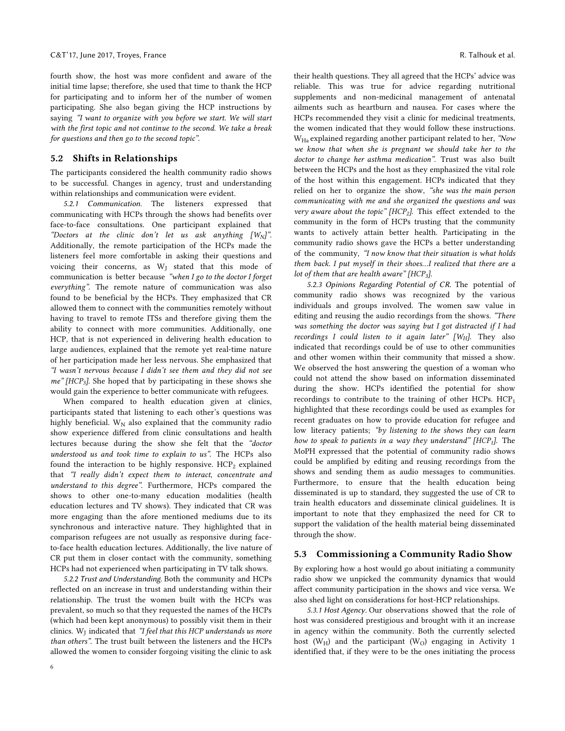fourth show, the host was more confident and aware of the initial time lapse; therefore, she used that time to thank the HCP for participating and to inform her of the number of women participating. She also began giving the HCP instructions by saying *"I want to organize with you before we start. We will start with the first topic and not continue to the second. We take a break for questions and then go to the second topic".*

#### 5.2 Shifts in Relationships

The participants considered the health community radio shows to be successful. Changes in agency, trust and understanding within relationships and communication were evident.

*5.2.1 Communication.* The listeners expressed that communicating with HCPs through the shows had benefits over face-to-face consultations. One participant explained that *"Doctors at the clinic don't let us ask anything [WN]"*. Additionally, the remote participation of the HCPs made the listeners feel more comfortable in asking their questions and voicing their concerns, as  $W<sub>J</sub>$  stated that this mode of communication is better because *"when I go to the doctor I forget everything"*. The remote nature of communication was also found to be beneficial by the HCPs. They emphasized that CR allowed them to connect with the communities remotely without having to travel to remote ITSs and therefore giving them the ability to connect with more communities. Additionally, one HCP, that is not experienced in delivering health education to large audiences, explained that the remote yet real-time nature of her participation made her less nervous. She emphasized that *"I wasn't nervous because I didn't see them and they did not see me" [HCP3]*. She hoped that by participating in these shows she would gain the experience to better communicate with refugees.

When compared to health education given at clinics, participants stated that listening to each other's questions was highly beneficial.  $W_N$  also explained that the community radio show experience differed from clinic consultations and health lectures because during the show she felt that the *"doctor understood us and took time to explain to us"*. The HCPs also found the interaction to be highly responsive.  $HCP<sub>2</sub>$  explained that *"I really didn't expect them to interact, concentrate and understand to this degree"*. Furthermore, HCPs compared the shows to other one-to-many education modalities (health education lectures and TV shows). They indicated that CR was more engaging than the afore mentioned mediums due to its synchronous and interactive nature. They highlighted that in comparison refugees are not usually as responsive during faceto-face health education lectures. Additionally, the live nature of CR put them in closer contact with the community, something HCPs had not experienced when participating in TV talk shows.

*5.2.2 Trust and Understanding.* Both the community and HCPs reflected on an increase in trust and understanding within their relationship. The trust the women built with the HCPs was prevalent, so much so that they requested the names of the HCPs (which had been kept anonymous) to possibly visit them in their clinics. W<sub>I</sub> indicated that "I feel that this HCP understands us more *than others"*. The trust built between the listeners and the HCPs allowed the women to consider forgoing visiting the clinic to ask their health questions. They all agreed that the HCPs' advice was reliable. This was true for advice regarding nutritional supplements and non-medicinal management of antenatal ailments such as heartburn and nausea. For cases where the HCPs recommended they visit a clinic for medicinal treatments, the women indicated that they would follow these instructions. WHa explained regarding another participant related to her, *"Now we know that when she is pregnant we should take her to the doctor to change her asthma medication"*. Trust was also built between the HCPs and the host as they emphasized the vital role of the host within this engagement. HCPs indicated that they relied on her to organize the show, *"she was the main person communicating with me and she organized the questions and was very aware about the topic" [HCP2]*. This effect extended to the community in the form of HCPs trusting that the community wants to actively attain better health. Participating in the community radio shows gave the HCPs a better understanding of the community, *"I now know that their situation is what holds them back. I put myself in their shoes…I realized that there are a lot of them that are health aware" [HCP3]*.

*5.2.3 Opinions Regarding Potential of CR.* The potential of community radio shows was recognized by the various individuals and groups involved. The women saw value in editing and reusing the audio recordings from the shows. *"There was something the doctor was saying but I got distracted if I had recordings I could listen to it again later" [W<sub>H</sub>]. They also* indicated that recordings could be of use to other communities and other women within their community that missed a show. We observed the host answering the question of a woman who could not attend the show based on information disseminated during the show. HCPs identified the potential for show recordings to contribute to the training of other HCPs.  $HCP<sub>1</sub>$ highlighted that these recordings could be used as examples for recent graduates on how to provide education for refugee and low literacy patients; *"by listening to the shows they can learn how to speak to patients in a way they understand" [HCP1]*. The MoPH expressed that the potential of community radio shows could be amplified by editing and reusing recordings from the shows and sending them as audio messages to communities. Furthermore, to ensure that the health education being disseminated is up to standard, they suggested the use of CR to train health educators and disseminate clinical guidelines. It is important to note that they emphasized the need for CR to support the validation of the health material being disseminated through the show.

#### 5.3 Commissioning a Community Radio Show

By exploring how a host would go about initiating a community radio show we unpicked the community dynamics that would affect community participation in the shows and vice versa. We also shed light on considerations for host-HCP relationships.

*5.3.1 Host Agency.* Our observations showed that the role of host was considered prestigious and brought with it an increase in agency within the community. Both the currently selected host (W<sub>H</sub>) and the participant (W<sub>O</sub>) engaging in Activity 1 identified that, if they were to be the ones initiating the process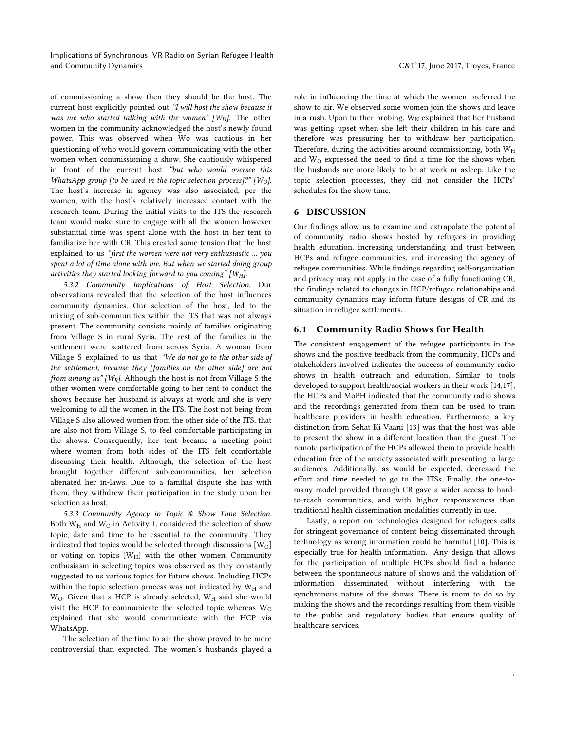Implications of Synchronous IVR Radio on Syrian Refugee Health and Community Dynamics C&T'17, June 2017, Troyes, France

of commissioning a show then they should be the host. The current host explicitly pointed out *"I will host the show because it was me who started talking with the women*" [W<sub>H</sub>]. The other women in the community acknowledged the host's newly found power. This was observed when Wo was cautious in her questioning of who would govern communicating with the other women when commissioning a show. She cautiously whispered in front of the current host *"but who would oversee this WhatsApp group [to be used in the topic selection process]?" [W<sub>O</sub>].* The host's increase in agency was also associated, per the women, with the host's relatively increased contact with the research team. During the initial visits to the ITS the research team would make sure to engage with all the women however substantial time was spent alone with the host in her tent to familiarize her with CR. This created some tension that the host explained to us *"first the women were not very enthusiastic … you spent a lot of time alone with me. But when we started doing group activities they started looking forward to you coming" [WH].*

*5.3.2 Community Implications of Host Selection.* Our observations revealed that the selection of the host influences community dynamics. Our selection of the host, led to the mixing of sub-communities within the ITS that was not always present. The community consists mainly of families originating from Village S in rural Syria. The rest of the families in the settlement were scattered from across Syria. A woman from Village S explained to us that *"We do not go to the other side of the settlement, because they [families on the other side] are not from among us*" [W<sub>R</sub>]. Although the host is not from Village S the other women were comfortable going to her tent to conduct the shows because her husband is always at work and she is very welcoming to all the women in the ITS. The host not being from Village S also allowed women from the other side of the ITS, that are also not from Village S, to feel comfortable participating in the shows. Consequently, her tent became a meeting point where women from both sides of the ITS felt comfortable discussing their health. Although, the selection of the host brought together different sub-communities, her selection alienated her in-laws. Due to a familial dispute she has with them, they withdrew their participation in the study upon her selection as host.

*5.3.3 Community Agency in Topic & Show Time Selection.*  Both  $W_H$  and  $W_O$  in Activity 1, considered the selection of show topic, date and time to be essential to the community. They indicated that topics would be selected through discussions  $[W<sub>O</sub>]$ or voting on topics  $[W_H]$  with the other women. Community enthusiasm in selecting topics was observed as they constantly suggested to us various topics for future shows. Including HCPs within the topic selection process was not indicated by  $W_H$  and  $W_O$ . Given that a HCP is already selected,  $W_H$  said she would visit the HCP to communicate the selected topic whereas  $W_O$ explained that she would communicate with the HCP via WhatsApp.

The selection of the time to air the show proved to be more controversial than expected. The women's husbands played a

role in influencing the time at which the women preferred the show to air. We observed some women join the shows and leave in a rush. Upon further probing,  $W_N$  explained that her husband was getting upset when she left their children in his care and therefore was pressuring her to withdraw her participation. Therefore, during the activities around commissioning, both  $W_H$ and  $W<sub>O</sub>$  expressed the need to find a time for the shows when the husbands are more likely to be at work or asleep. Like the topic selection processes, they did not consider the HCPs' schedules for the show time.

#### 6 DISCUSSION

Our findings allow us to examine and extrapolate the potential of community radio shows hosted by refugees in providing health education, increasing understanding and trust between HCPs and refugee communities, and increasing the agency of refugee communities. While findings regarding self-organization and privacy may not apply in the case of a fully functioning CR, the findings related to changes in HCP/refugee relationships and community dynamics may inform future designs of CR and its situation in refugee settlements.

# 6.1 Community Radio Shows for Health

The consistent engagement of the refugee participants in the shows and the positive feedback from the community, HCPs and stakeholders involved indicates the success of community radio shows in health outreach and education. Similar to tools developed to support health/social workers in their work [14,17], the HCPs and MoPH indicated that the community radio shows and the recordings generated from them can be used to train healthcare providers in health education. Furthermore, a key distinction from Sehat Ki Vaani [13] was that the host was able to present the show in a different location than the guest. The remote participation of the HCPs allowed them to provide health education free of the anxiety associated with presenting to large audiences. Additionally, as would be expected, decreased the effort and time needed to go to the ITSs. Finally, the one-tomany model provided through CR gave a wider access to hardto-reach communities, and with higher responsiveness than traditional health dissemination modalities currently in use.

Lastly, a report on technologies designed for refugees calls for stringent governance of content being disseminated through technology as wrong information could be harmful [10]. This is especially true for health information. Any design that allows for the participation of multiple HCPs should find a balance between the spontaneous nature of shows and the validation of information disseminated without interfering with the synchronous nature of the shows. There is room to do so by making the shows and the recordings resulting from them visible to the public and regulatory bodies that ensure quality of healthcare services.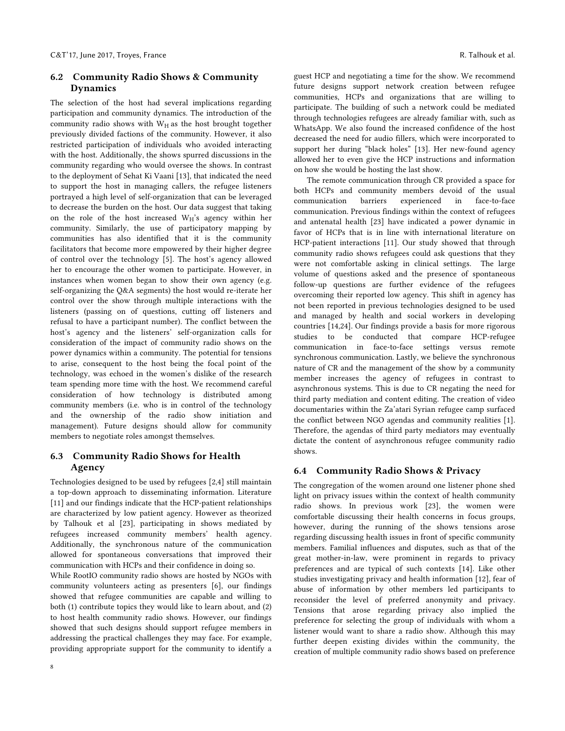# 6.2 Community Radio Shows & Community Dynamics

The selection of the host had several implications regarding participation and community dynamics. The introduction of the community radio shows with  $W_H$  as the host brought together previously divided factions of the community. However, it also restricted participation of individuals who avoided interacting with the host. Additionally, the shows spurred discussions in the community regarding who would oversee the shows. In contrast to the deployment of Sehat Ki Vaani [13], that indicated the need to support the host in managing callers, the refugee listeners portrayed a high level of self-organization that can be leveraged to decrease the burden on the host. Our data suggest that taking on the role of the host increased  $W_H$ 's agency within her community. Similarly, the use of participatory mapping by communities has also identified that it is the community facilitators that become more empowered by their higher degree of control over the technology [5]. The host's agency allowed her to encourage the other women to participate. However, in instances when women began to show their own agency (e.g. self-organizing the Q&A segments) the host would re-iterate her control over the show through multiple interactions with the listeners (passing on of questions, cutting off listeners and refusal to have a participant number). The conflict between the host's agency and the listeners' self-organization calls for consideration of the impact of community radio shows on the power dynamics within a community. The potential for tensions to arise, consequent to the host being the focal point of the technology, was echoed in the women's dislike of the research team spending more time with the host. We recommend careful consideration of how technology is distributed among community members (i.e. who is in control of the technology and the ownership of the radio show initiation and management). Future designs should allow for community members to negotiate roles amongst themselves.

# 6.3 Community Radio Shows for Health Agency

Technologies designed to be used by refugees [2,4] still maintain a top-down approach to disseminating information. Literature [11] and our findings indicate that the HCP-patient relationships are characterized by low patient agency. However as theorized by Talhouk et al [23], participating in shows mediated by refugees increased community members' health agency. Additionally, the synchronous nature of the communication allowed for spontaneous conversations that improved their communication with HCPs and their confidence in doing so.

While RootIO community radio shows are hosted by NGOs with community volunteers acting as presenters [6], our findings showed that refugee communities are capable and willing to both (1) contribute topics they would like to learn about, and (2) to host health community radio shows. However, our findings showed that such designs should support refugee members in addressing the practical challenges they may face. For example, providing appropriate support for the community to identify a

guest HCP and negotiating a time for the show. We recommend future designs support network creation between refugee communities, HCPs and organizations that are willing to participate. The building of such a network could be mediated through technologies refugees are already familiar with, such as WhatsApp. We also found the increased confidence of the host decreased the need for audio fillers, which were incorporated to support her during "black holes" [13]. Her new-found agency allowed her to even give the HCP instructions and information on how she would be hosting the last show.

The remote communication through CR provided a space for both HCPs and community members devoid of the usual communication barriers experienced in face-to-face communication. Previous findings within the context of refugees and antenatal health [23] have indicated a power dynamic in favor of HCPs that is in line with international literature on HCP-patient interactions [11]. Our study showed that through community radio shows refugees could ask questions that they were not comfortable asking in clinical settings. The large volume of questions asked and the presence of spontaneous follow-up questions are further evidence of the refugees overcoming their reported low agency. This shift in agency has not been reported in previous technologies designed to be used and managed by health and social workers in developing countries [14,24]. Our findings provide a basis for more rigorous studies to be conducted that compare HCP-refugee communication in face-to-face settings versus remote synchronous communication. Lastly, we believe the synchronous nature of CR and the management of the show by a community member increases the agency of refugees in contrast to asynchronous systems. This is due to CR negating the need for third party mediation and content editing. The creation of video documentaries within the Za'atari Syrian refugee camp surfaced the conflict between NGO agendas and community realities [1]. Therefore, the agendas of third party mediators may eventually dictate the content of asynchronous refugee community radio shows.

#### 6.4 Community Radio Shows & Privacy

The congregation of the women around one listener phone shed light on privacy issues within the context of health community radio shows. In previous work [23], the women were comfortable discussing their health concerns in focus groups, however, during the running of the shows tensions arose regarding discussing health issues in front of specific community members. Familial influences and disputes, such as that of the great mother-in-law, were prominent in regards to privacy preferences and are typical of such contexts [14]. Like other studies investigating privacy and health information [12], fear of abuse of information by other members led participants to reconsider the level of preferred anonymity and privacy. Tensions that arose regarding privacy also implied the preference for selecting the group of individuals with whom a listener would want to share a radio show. Although this may further deepen existing divides within the community, the creation of multiple community radio shows based on preference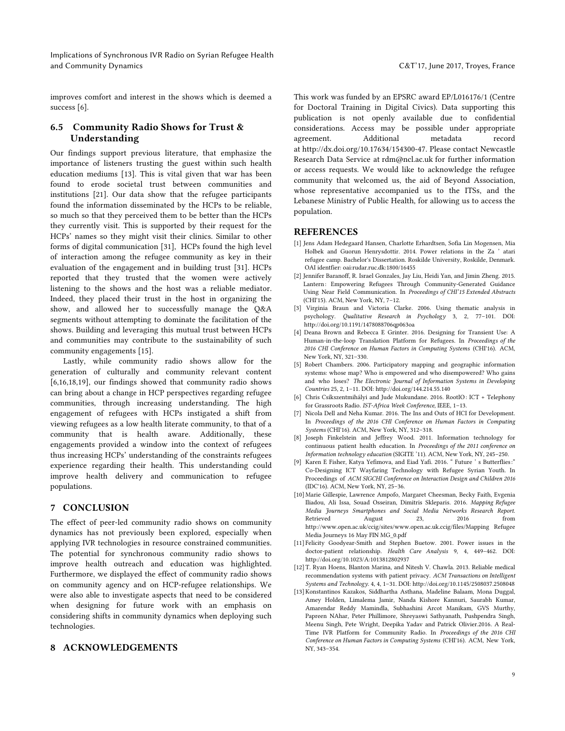Implications of Synchronous IVR Radio on Syrian Refugee Health and Community Dynamics C&T'17, June 2017, Troyes, France

improves comfort and interest in the shows which is deemed a success [6].

# 6.5 Community Radio Shows for Trust & Understanding

Our findings support previous literature, that emphasize the importance of listeners trusting the guest within such health education mediums [13]. This is vital given that war has been found to erode societal trust between communities and institutions [21]. Our data show that the refugee participants found the information disseminated by the HCPs to be reliable, so much so that they perceived them to be better than the HCPs they currently visit. This is supported by their request for the HCPs' names so they might visit their clinics. Similar to other forms of digital communication [31], HCPs found the high level of interaction among the refugee community as key in their evaluation of the engagement and in building trust [31]. HCPs reported that they trusted that the women were actively listening to the shows and the host was a reliable mediator. Indeed, they placed their trust in the host in organizing the show, and allowed her to successfully manage the Q&A segments without attempting to dominate the facilitation of the shows. Building and leveraging this mutual trust between HCPs and communities may contribute to the sustainability of such community engagements [15].

Lastly, while community radio shows allow for the generation of culturally and community relevant content [6,16,18,19], our findings showed that community radio shows can bring about a change in HCP perspectives regarding refugee communities, through increasing understanding. The high engagement of refugees with HCPs instigated a shift from viewing refugees as a low health literate community, to that of a community that is health aware. Additionally, these engagements provided a window into the context of refugees thus increasing HCPs' understanding of the constraints refugees experience regarding their health. This understanding could improve health delivery and communication to refugee populations.

#### 7 CONCLUSION

The effect of peer-led community radio shows on community dynamics has not previously been explored, especially when applying IVR technologies in resource constrained communities. The potential for synchronous community radio shows to improve health outreach and education was highlighted. Furthermore, we displayed the effect of community radio shows on community agency and on HCP-refugee relationships. We were also able to investigate aspects that need to be considered when designing for future work with an emphasis on considering shifts in community dynamics when deploying such technologies.

#### 8 ACKNOWLEDGEMENTS

This work was funded by an EPSRC award EP/L016176/1 (Centre for Doctoral Training in Digital Civics). Data supporting this publication is not openly available due to confidential considerations. Access may be possible under appropriate agreement. Additional metadata record at http://dx.doi.org/10.17634/154300-47. Please contact Newcastle Research Data Service at rdm@ncl.ac.uk for further information or access requests. We would like to acknowledge the refugee community that welcomed us, the aid of Beyond Association, whose representative accompanied us to the ITSs, and the Lebanese Ministry of Public Health, for allowing us to access the population.

#### REFERENCES

- [1] Jens Adam Hedegaard Hansen, Charlotte Erhardtsen, Sofia Lin Mogensen, Mia Holbek and Guorun Henrysdottir. 2014. Power relations in the Za ' atari refugee camp. Bachelor's Dissertation. Roskilde University, Roskilde, Denmark. OAI identfier: oai:rudar.ruc.dk:1800/16455
- [2] Jennifer Baranoff, R. Israel Gonzales, Jay Liu, Heidi Yan, and Jimin Zheng. 2015. Lantern: Empowering Refugees Through Community-Generated Guidance Using Near Field Communication. In *Proceedings of CHI'15 Extended Abstracts* (CHI'15). ACM, New York, NY, 7–12.
- [3] Virginia Braun and Victoria Clarke. 2006. Using thematic analysis in psychology. *Qualitative Research in Psychology* 3, 2, 77–101. DOI: http://doi.org/10.1191/1478088706qp063oa
- [4] Deana Brown and Rebecca E Grinter. 2016. Designing for Transient Use: A Human-in-the-loop Translation Platform for Refugees. In *Proceedings of the 2016 CHI Conference on Human Factors in Computing Systems* (CHI'16). ACM, New York, NY, 321–330.
- [5] Robert Chambers. 2006. Participatory mapping and geographic information systems: whose map? Who is empowered and who disempowered? Who gains and who loses? *The Electronic Journal of Information Systems in Developing Countries* 25, 2, 1–11. DOI: http://doi.org/144.214.55.140
- [6] Chris Csíkszentmihályi and Jude Mukundane. 2016. RootIO: ICT + Telephony for Grassroots Radio. *IST-Africa Week Conference*, IEEE, 1–13.
- [7] Nicola Dell and Neha Kumar. 2016. The Ins and Outs of HCI for Development. In *Proceedings of the 2016 CHI Conference on Human Factors in Computing Systems* (CHI'16). ACM, New York, NY, 312–318.
- [8] Joseph Finkelstein and Jeffrey Wood. 2011. Information technology for continuous patient health education. In *Proceedings of the 2011 conference on Information technology education* (SIGITE '11). ACM, New York, NY, 245–250.
- [9] Karen E Fisher, Katya Yefimova, and Eiad Yafi. 2016. " Future ' s Butterflies:" Co-Designing ICT Wayfaring Technology with Refugee Syrian Youth. In Proceedings of *ACM SIGCHI Conference on Interaction Design and Children 2016* (IDC'16). ACM, New York, NY, 25–36.
- [10] Marie Gillespie, Lawrence Ampofo, Margaret Cheesman, Becky Faith, Evgenia Iliadou, Ali Issa, Souad Osseiran, Dimitris Skleparis. 2016. *Mapping Refugee Media Journeys Smartphones and Social Media Networks Research Report*. Retrieved August 23, 2016 from http://www.open.ac.uk/ccig/sites/www.open.ac.uk.ccig/files/Mapping Refugee Media Journeys 16 May FIN MG\_0.pdf
- [11] Felicity Goodyear-Smith and Stephen Buetow. 2001. Power issues in the doctor-patient relationship. *Health Care Analysis* 9, 4, 449–462. DOI: http://doi.org/10.1023/A:1013812802937
- [12] T. Ryan Hoens, Blanton Marina, and Nitesh V. Chawla. 2013. Reliable medical recommendation systems with patient privacy. *ACM Transactions on Intelligent Systems and Technology.* 4, 4, 1–31. DOI: http://doi.org/10.1145/2508037.2508048
- [13] Konstantinos Kazakos, Siddhartha Asthana, Madeline Balaam, Mona Duggal, Amey Holden, Limalema Jamir, Nanda Kishore Kannuri, Saurabh Kumar, Amarendar Reddy Mamindla, Subhashini Arcot Manikam, GVS Murthy, Papreen NAhar, Peter Phillimore, Shreyaswi Sathyanath, Pushpendra Singh, Meenu Singh, Pete Wright, Deepika Yadav and Patrick Olivier.2016. A Real-Time IVR Platform for Community Radio. In *Proceedings of the 2016 CHI Conference on Human Factors in Computing Systems* (CHI'16). ACM, New York, NY, 343–354.